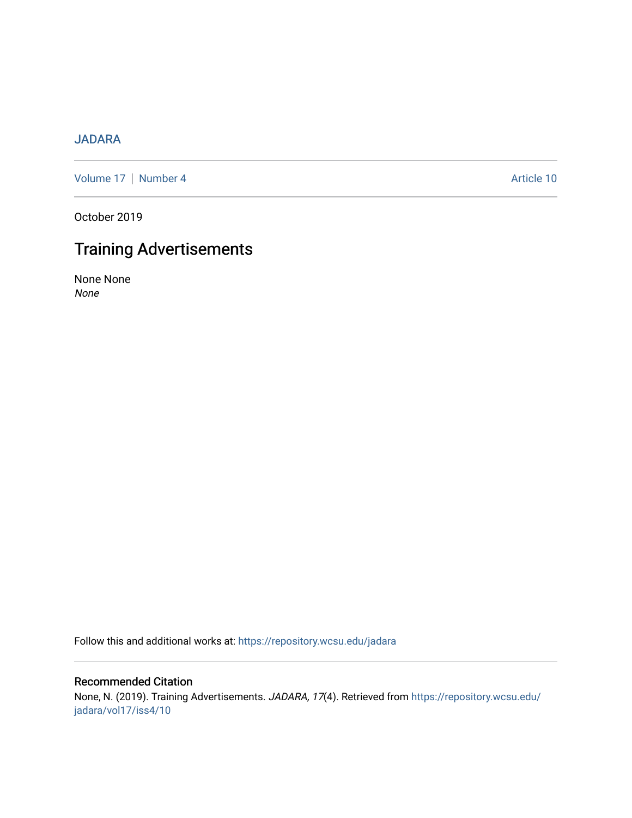### [JADARA](https://repository.wcsu.edu/jadara)

[Volume 17](https://repository.wcsu.edu/jadara/vol17) | [Number 4](https://repository.wcsu.edu/jadara/vol17/iss4) Article 10

October 2019

## Training Advertisements

None None None

Follow this and additional works at: [https://repository.wcsu.edu/jadara](https://repository.wcsu.edu/jadara?utm_source=repository.wcsu.edu%2Fjadara%2Fvol17%2Fiss4%2F10&utm_medium=PDF&utm_campaign=PDFCoverPages)

#### Recommended Citation

None, N. (2019). Training Advertisements. JADARA, 17(4). Retrieved from [https://repository.wcsu.edu/](https://repository.wcsu.edu/jadara/vol17/iss4/10?utm_source=repository.wcsu.edu%2Fjadara%2Fvol17%2Fiss4%2F10&utm_medium=PDF&utm_campaign=PDFCoverPages) [jadara/vol17/iss4/10](https://repository.wcsu.edu/jadara/vol17/iss4/10?utm_source=repository.wcsu.edu%2Fjadara%2Fvol17%2Fiss4%2F10&utm_medium=PDF&utm_campaign=PDFCoverPages)